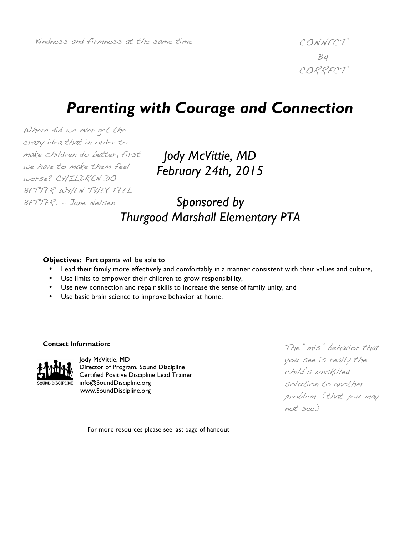$B$ 4 CORRECT

# *Parenting with Courage and Connection*

Where did we ever get the crazy idea that in order to make children do better, first we have to make them feel worse? CHILDREN DO BETTER WHEN THEY FEEL BETTER. - Jane Nelsen

*Jody McVittie, MD February 24th, 2015*

*Sponsored by Thurgood Marshall Elementary PTA*

#### **Objectives:** Participants will be able to

- Lead their family more effectively and comfortably in a manner consistent with their values and culture,
- Use limits to empower their children to grow responsibility,
- Use new connection and repair skills to increase the sense of family unity, and
- Use basic brain science to improve behavior at home.

#### **Contact Information:**



Jody McVittie, MD Director of Program, Sound Discipline Certified Positive Discipline Lead Trainer info@SoundDiscipline.org www.SoundDiscipline.org

The "mis" behavior that you see is really the child's unskilled solution to another problem (that you may not see.)

For more resources please see last page of handout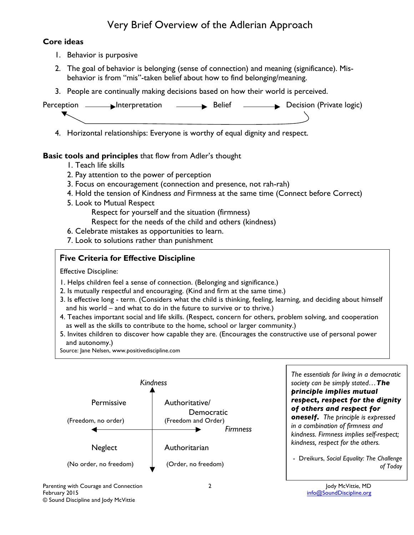## Very Brief Overview of the Adlerian Approach

#### **Core ideas**

- 1. Behavior is purposive
- 2. The goal of behavior is belonging (sense of connection) and meaning (significance). Misbehavior is from "mis"-taken belief about how to find belonging/meaning.
- 3. People are continually making decisions based on how their world is perceived.



4. Horizontal relationships: Everyone is worthy of equal dignity and respect.

### **Basic tools and principles** that flow from Adler's thought

- 1. Teach life skills
- 2. Pay attention to the power of perception
- 3. Focus on encouragement (connection and presence, not rah-rah)
- 4. Hold the tension of Kindness *and* Firmness at the same time (Connect before Correct)
- 5. Look to Mutual Respect
	- Respect for yourself and the situation (firmness)
	- Respect for the needs of the child and others (kindness)
- 6. Celebrate mistakes as opportunities to learn.
- 7. Look to solutions rather than punishment

### **Five Criteria for Effective Discipline**

Effective Discipline:

- 1. Helps children feel a sense of connection. (Belonging and significance.)
- 2. Is mutually respectful and encouraging. (Kind and firm at the same time.)
- 3. Is effective long term. (Considers what the child is thinking, feeling, learning, and deciding about himself and his world – and what to do in the future to survive or to thrive.)
- 4. Teaches important social and life skills. (Respect, concern for others, problem solving, and cooperation as well as the skills to contribute to the home, school or larger community.)
- 5. Invites children to discover how capable they are. (Encourages the constructive use of personal power and autonomy.)

Source: Jane Nelsen, www.positivediscipline.com



*The essentials for living in a democratic society can be simply stated…The principle implies mutual respect, respect for the dignity of others and respect for oneself. The principle is expressed* 

*in a combination of firmness and kindness. Firmness implies self-respect; kindness, respect for the others.*

- Dreikurs, *Social Equality: The Challenge of Today*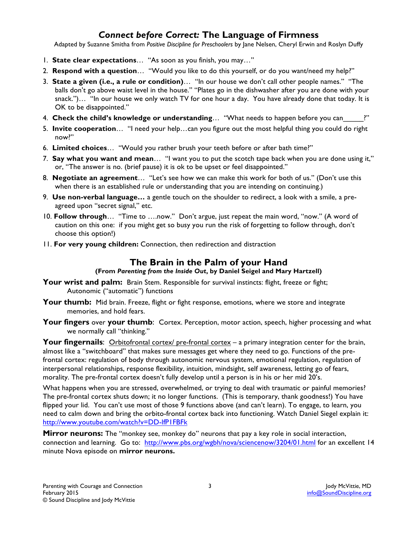## *Connect before Correct:* **The Language of Firmness**

Adapted by Suzanne Smitha from *Positive Discipline for Preschoolers* by Jane Nelsen, Cheryl Erwin and Roslyn Duffy

- 1. **State clear expectations**… "As soon as you finish, you may…"
- 2. **Respond with a question**… "Would you like to do this yourself, or do you want/need my help?"
- 3. **State a given (i.e., a rule or condition)**… "In our house we don't call other people names." "The balls don't go above waist level in the house." "Plates go in the dishwasher after you are done with your snack.")… "In our house we only watch TV for one hour a day. You have already done that today. It is OK to be disappointed."
- 4. **Check the child's knowledge or understanding**… "What needs to happen before you can\_\_\_\_\_?"
- 5. **Invite cooperation**… "I need your help…can you figure out the most helpful thing you could do right now?"
- 6. **Limited choices**… "Would you rather brush your teeth before or after bath time?"
- 7. **Say what you want and mean**… "I want you to put the scotch tape back when you are done using it," or, "The answer is no. (brief pause) it is ok to be upset or feel disappointed."
- 8. **Negotiate an agreement**… "Let's see how we can make this work for both of us." (Don't use this when there is an established rule or understanding that you are intending on continuing.)
- 9. **Use non-verbal language…** a gentle touch on the shoulder to redirect, a look with a smile, a preagreed upon "secret signal," etc.
- 10. **Follow through**… "Time to ….now." Don't argue, just repeat the main word, "now." (A word of caution on this one: if you might get so busy you run the risk of forgetting to follow through, don't choose this option!)
- 11. **For very young children:** Connection, then redirection and distraction

## **The Brain in the Palm of your Hand**

#### **(From** *Parenting from the Inside Out***, by Daniel Seigel and Mary Hartzell)**

- Your wrist and palm: Brain Stem. Responsible for survival instincts: flight, freeze or fight; Autonomic ("automatic") functions
- **Your thumb:** Mid brain. Freeze, flight or fight response, emotions, where we store and integrate memories, and hold fears.
- **Your fingers** over **your thumb**: Cortex. Perception, motor action, speech, higher processing and what we normally call "thinking."

**Your fingernails:** Orbitofrontal cortex/ pre-frontal cortex – a primary integration center for the brain, almost like a "switchboard" that makes sure messages get where they need to go. Functions of the prefrontal cortex: regulation of body through autonomic nervous system, emotional regulation, regulation of interpersonal relationships, response flexibility, intuition, mindsight, self awareness, letting go of fears, morality. The pre-frontal cortex doesn't fully develop until a person is in his or her mid 20's.

What happens when you are stressed, overwhelmed, or trying to deal with traumatic or painful memories? The pre-frontal cortex shuts down; it no longer functions. (This is temporary, thank goodness!) You have flipped your lid. You can't use most of those 9 functions above (and can't learn). To engage, to learn, you need to calm down and bring the orbito-frontal cortex back into functioning. Watch Daniel Siegel explain it: http://www.youtube.com/watch?v=DD-lfP1FBFk

**Mirror neurons:** The "monkey see, monkey do" neurons that pay a key role in social interaction, connection and learning. Go to: http://www.pbs.org/wgbh/nova/sciencenow/3204/01.html for an excellent 14 minute Nova episode on **mirror neurons.**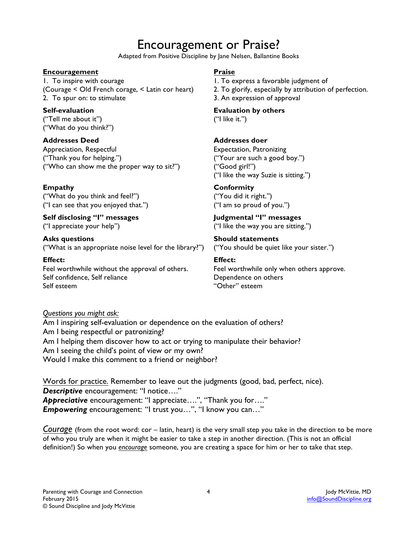# Encouragement or Praise?

Adapted from Positive Discipline by Jane Nelsen, Ballantine Books

#### **Encouragement**

1. To inspire with courage (Courage < Old French corage, < Latin cor heart) 2. To spur on: to stimulate

**Self-evaluation** ("Tell me about it") ("What do you think?")

**Addresses Deed**

Appreciation, Respectful ("Thank you for helping.") ("Who can show me the proper way to sit?")

#### **Empathy**

("What do you think and feel?") ("I can see that you enjoyed that.")

**Self disclosing "I" messages** ("I appreciate your help")

**Asks questions** ("What is an appropriate noise level for the library?")

**Effect:** Feel worthwhile without the approval of others. Self confidence, Self reliance Self esteem

#### **Praise**

- 1. To express a favorable judgment of
- 2. To glorify, especially by attribution of perfection.
- 3. An expression of approval

**Evaluation by others** 

("I like it.")

#### **Addresses doer**

Expectation, Patronizing ("Your are such a good boy.") ("Good girl!") ("I like the way Suzie is sitting.")

#### **Conformity**

("You did it right.") ("I am so proud of you.")

**Judgmental "I" messages** ("I like the way you are sitting.")

**Should statements** ("You should be quiet like your sister.")

#### **Effect:**

Feel worthwhile only when others approve. Dependence on others "Other" esteem

*Questions you might ask:*

Am I inspiring self-evaluation or dependence on the evaluation of others? Am I being respectful or patronizing? Am I helping them discover how to act or trying to manipulate their behavior? Am I seeing the child's point of view or my own? Would I make this comment to a friend or neighbor?

Words for practice. Remember to leave out the judgments (good, bad, perfect, nice). *Descriptive* encouragement: "I notice…." *Appreciative* encouragement: "I appreciate….", "Thank you for…." *Empowering* encouragement: "I trust you…", "I know you can…"

*Courage* (from the root word: cor – latin, heart) is the very small step you take in the direction to be more of who you truly are when it might be easier to take a step in another direction. (This is not an official definition!) So when you *encourage* someone, you are creating a space for him or her to take that step.